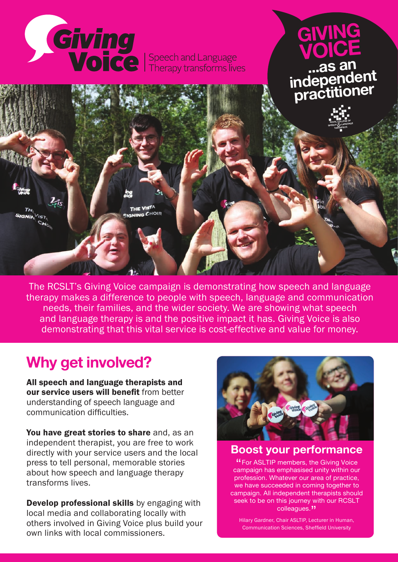

The RCSLT's Giving Voice campaign is demonstrating how speech and language therapy makes a difference to people with speech, language and communication needs, their families, and the wider society. We are showing what speech and language therapy is and the positive impact it has. Giving Voice is also demonstrating that this vital service is cost-effective and value for money.

# **Why get involved?**

All speech and language therapists and our service users will benefit from better understanding of speech language and communication difficulties.

You have great stories to share and, as an independent therapist, you are free to work directly with your service users and the local press to tell personal, memorable stories about how speech and language therapy transforms lives.

**Develop professional skills** by engaging with local media and collaborating locally with others involved in Giving Voice plus build your own links with local commissioners.



#### **Boost your performance**

"For ASLTIP members, the Giving Voice campaign has emphasised unity within our profession. Whatever our area of practice, we have succeeded in coming together to campaign. All independent therapists should seek to be on this journey with our RCSLT colleagues."

Hilary Gardner, Chair ASLTIP, Lecturer in Human, Communication Sciences, Sheffield University